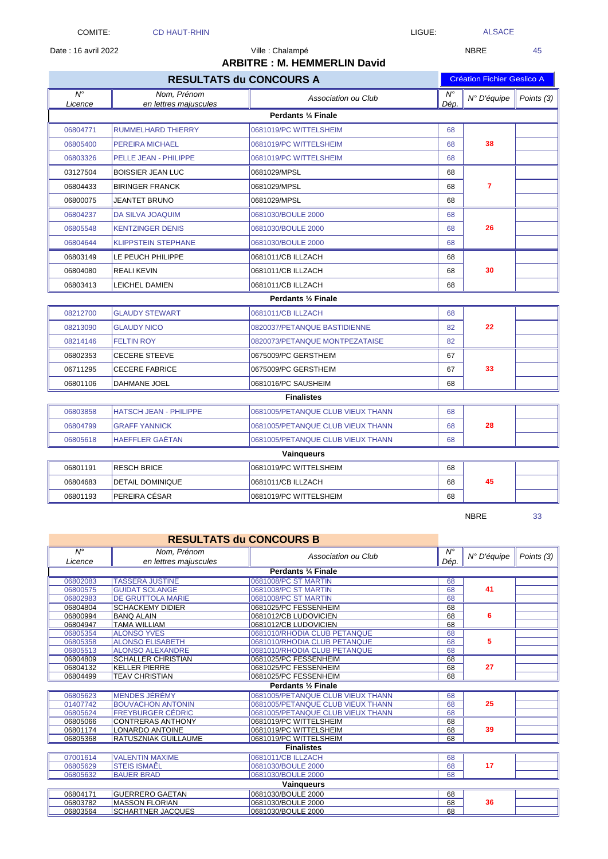Date : 16 avril 2022 **NBRE** 45

|  |  | $\Lambda$ |
|--|--|-----------|

| <b>ARBITRE: M. HEMMERLIN David</b> |                                      |                                   |                                |                                   |            |  |  |
|------------------------------------|--------------------------------------|-----------------------------------|--------------------------------|-----------------------------------|------------|--|--|
|                                    | <b>RESULTATS du CONCOURS A</b>       |                                   |                                | <b>Création Fichier Geslico A</b> |            |  |  |
| $\overline{N^{\circ}}$<br>Licence  | Nom, Prénom<br>en lettres majuscules | Association ou Club               | $\overline{N^{\circ}}$<br>Dép. | N° D'équipe                       | Points (3) |  |  |
|                                    | Perdants 1/4 Finale                  |                                   |                                |                                   |            |  |  |
| 06804771                           | <b>RUMMELHARD THIERRY</b>            | 0681019/PC WITTELSHEIM            | 68                             |                                   |            |  |  |
| 06805400                           | PEREIRA MICHAEL                      | 0681019/PC WITTELSHEIM            | 68                             | 38                                |            |  |  |
| 06803326                           | PELLE JEAN - PHILIPPE                | 0681019/PC WITTELSHEIM            | 68                             |                                   |            |  |  |
| 03127504                           | <b>BOISSIER JEAN LUC</b>             | 0681029/MPSL                      | 68                             |                                   |            |  |  |
| 06804433                           | <b>BIRINGER FRANCK</b>               | 0681029/MPSL                      | 68                             | $\overline{7}$                    |            |  |  |
| 06800075                           | <b>JEANTET BRUNO</b>                 | 0681029/MPSL                      | 68                             |                                   |            |  |  |
| 06804237                           | <b>DA SILVA JOAQUIM</b>              | 0681030/BOULE 2000                | 68                             |                                   |            |  |  |
| 06805548                           | <b>KENTZINGER DENIS</b>              | 0681030/BOULE 2000                | 68                             | 26                                |            |  |  |
| 06804644                           | <b>KLIPPSTEIN STEPHANE</b>           | 0681030/BOULE 2000                | 68                             |                                   |            |  |  |
| 06803149                           | LE PEUCH PHILIPPE                    | 0681011/CB ILLZACH                | 68                             |                                   |            |  |  |
| 06804080                           | <b>REALIKEVIN</b>                    | 0681011/CB ILLZACH                | 68                             | 30                                |            |  |  |
| 06803413                           | <b>LEICHEL DAMIEN</b>                | 0681011/CB ILLZACH                | 68                             |                                   |            |  |  |
|                                    |                                      | Perdants 1/2 Finale               |                                |                                   |            |  |  |
| 08212700                           | <b>GLAUDY STEWART</b>                | 0681011/CB ILLZACH                | 68                             |                                   |            |  |  |
| 08213090                           | <b>GLAUDY NICO</b>                   | 0820037/PETANQUE BASTIDIENNE      | 82                             | 22                                |            |  |  |
| 08214146                           | <b>FELTIN ROY</b>                    | 0820073/PETANQUE MONTPEZATAISE    | 82                             |                                   |            |  |  |
| 06802353                           | <b>CECERE STEEVE</b>                 | 0675009/PC GERSTHEIM              | 67                             |                                   |            |  |  |
| 06711295                           | <b>CECERE FABRICE</b>                | 0675009/PC GERSTHEIM              | 67                             | 33                                |            |  |  |
| 06801106                           | DAHMANE JOEL                         | 0681016/PC SAUSHEIM               | 68                             |                                   |            |  |  |
|                                    |                                      | <b>Finalistes</b>                 |                                |                                   |            |  |  |
| 06803858                           | <b>HATSCH JEAN - PHILIPPE</b>        | 0681005/PETANQUE CLUB VIEUX THANN | 68                             |                                   |            |  |  |
| 06804799                           | <b>GRAFF YANNICK</b>                 | 0681005/PETANQUE CLUB VIEUX THANN | 68                             | 28                                |            |  |  |
| 06805618                           | <b>HAEFFLER GAËTAN</b>               | 0681005/PETANQUE CLUB VIEUX THANN | 68                             |                                   |            |  |  |
|                                    | Vainqueurs                           |                                   |                                |                                   |            |  |  |
| 06801191                           | <b>RESCH BRICE</b>                   | 0681019/PC WITTELSHEIM            | 68                             |                                   |            |  |  |
| 06804683                           | <b>DETAIL DOMINIQUE</b>              | 0681011/CB ILLZACH                | 68                             | 45                                |            |  |  |
| 06801193                           | PEREIRA CÉSAR                        | 0681019/PC WITTELSHEIM            | 68                             |                                   |            |  |  |

Ville : Chalampé

NBRE 33

|                        | <b>RESULTATS du CONCOURS B</b>       |                                   |                                |             |            |  |  |
|------------------------|--------------------------------------|-----------------------------------|--------------------------------|-------------|------------|--|--|
| $N^{\circ}$<br>Licence | Nom, Prénom<br>en lettres majuscules | Association ou Club               | $\overline{N^{\circ}}$<br>Dép. | N° D'équipe | Points (3) |  |  |
|                        |                                      | Perdants 1/4 Finale               |                                |             |            |  |  |
| 06802083               | <b>TASSERA JUSTINE</b>               | 0681008/PC ST MARTIN              | 68                             |             |            |  |  |
| 06800575               | <b>GUIDAT SOLANGE</b>                | 0681008/PC ST MARTIN              | 68                             | 41          |            |  |  |
| 06802983               | <b>DE GRUTTOLA MARIE</b>             | 0681008/PC ST MARTIN              | 68                             |             |            |  |  |
| 06804804               | <b>SCHACKEMY DIDIER</b>              | 0681025/PC FESSENHEIM             | 68                             |             |            |  |  |
| 06800994               | <b>BANQ ALAIN</b>                    | 0681012/CB LUDOVICIEN             | 68                             | 6           |            |  |  |
| 06804947               | <b>TAMA WILLIAM</b>                  | 0681012/CB LUDOVICIEN             | 68                             |             |            |  |  |
| 06805354               | <b>ALONSO YVES</b>                   | 0681010/RHODIA CLUB PETANQUE      | 68                             |             |            |  |  |
| 06805358               | <b>ALONSO ELISABETH</b>              | 0681010/RHODIA CLUB PETANQUE      | 68                             | 5           |            |  |  |
| 06805513               | <b>ALONSO ALEXANDRE</b>              | 0681010/RHODIA CLUB PETANQUE      | 68                             |             |            |  |  |
| 06804809               | <b>SCHALLER CHRISTIAN</b>            | 0681025/PC FESSENHEIM             | 68                             |             |            |  |  |
| 06804132               | <b>KELLER PIERRE</b>                 | 0681025/PC FESSENHEIM             | 68                             | 27          |            |  |  |
| 06804499               | <b>TEAV CHRISTIAN</b>                | 0681025/PC FESSENHEIM             | 68                             |             |            |  |  |
|                        | Perdants 1/2 Finale                  |                                   |                                |             |            |  |  |
| 06805623               | <b>MENDES JEREMY</b>                 | 0681005/PETANQUE CLUB VIEUX THANN | 68                             |             |            |  |  |
| 01407742               | <b>BOUVACHON ANTONIN</b>             | 0681005/PETANQUE CLUB VIEUX THANN | 68                             | 25          |            |  |  |
| 06805624               | <b>FREYBURGER CÉDRIC</b>             | 0681005/PETANQUE CLUB VIEUX THANN | 68                             |             |            |  |  |
| 06805066               | <b>CONTRERAS ANTHONY</b>             | 0681019/PC WITTELSHEIM            | 68                             |             |            |  |  |
| 06801174               | LONARDO ANTOINE                      | 0681019/PC WITTELSHEIM            | 68                             | 39          |            |  |  |
| 06805368               | <b>RATUSZNIAK GUILLAUME</b>          | 0681019/PC WITTELSHEIM            | 68                             |             |            |  |  |
|                        |                                      | <b>Finalistes</b>                 |                                |             |            |  |  |
| 07001614               | <b>VALENTIN MAXIME</b>               | 0681011/CB ILLZACH                | 68                             |             |            |  |  |
| 06805629               | <b>STEIS ISMAÊL</b>                  | 0681030/BOULE 2000                | 68                             | 17          |            |  |  |
| 06805632               | <b>BAUER BRAD</b>                    | 0681030/BOULE 2000                | 68                             |             |            |  |  |
| <b>Vaingueurs</b>      |                                      |                                   |                                |             |            |  |  |
| 06804171               | <b>GUERRERO GAETAN</b>               | 0681030/BOULE 2000                | 68                             |             |            |  |  |
| 06803782               | <b>MASSON FLORIAN</b>                | 0681030/BOULE 2000                | 68                             | 36          |            |  |  |
| 06803564               | <b>SCHARTNER JACQUES</b>             | 0681030/BOULE 2000                | 68                             |             |            |  |  |